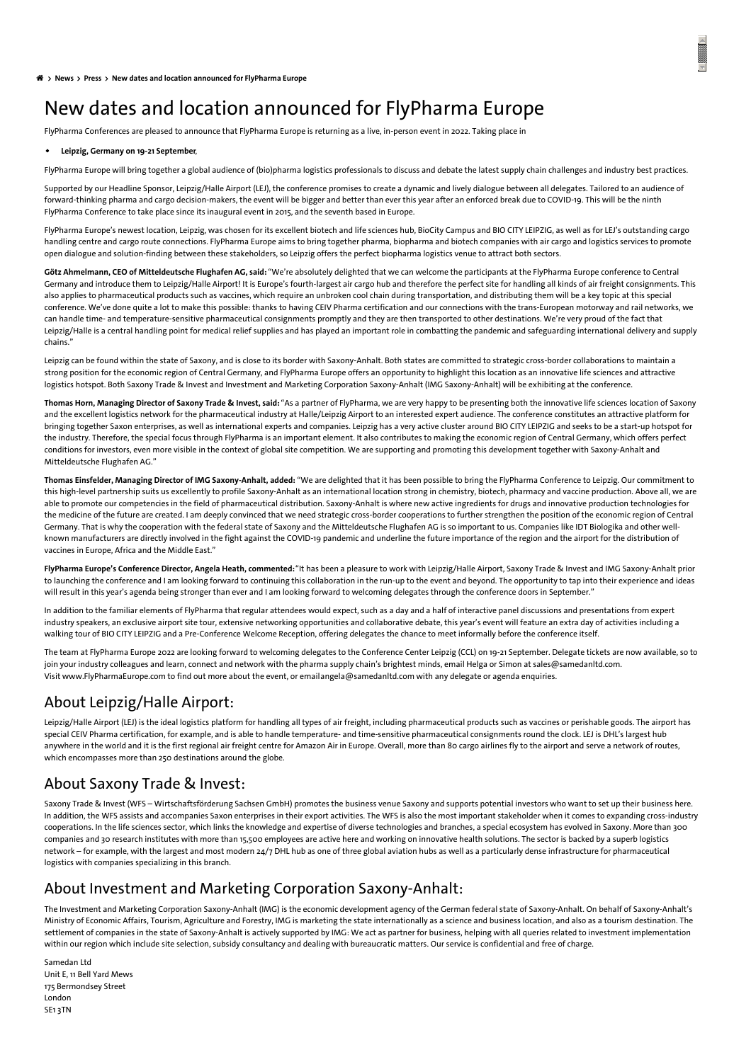# <span id="page-0-0"></span>New dates and location announced for FlyPharma Europe

FlyPharma Conferences are pleased to announce that FlyPharma Europe is returning as a live, in-person event in 2022. Taking place in

#### **Leipzig, Germany on 19-21 September**,

FlyPharma Europe will bring together a global audience of (bio)pharma logistics professionals to discuss and debate the latest supply chain challenges and industry best practices.

Supported by our Headline Sponsor, Leipzig/Halle Airport (LEJ), the conference promises to create a dynamic and lively dialogue between all delegates. Tailored to an audience of forward-thinking pharma and cargo decision-makers, the event will be bigger and better than ever this year after an enforced break due to COVID-19. This will be the ninth FlyPharma Conference to take place since its inaugural event in 2015, and the seventh based in Europe.

FlyPharma Europe's newest location, Leipzig, was chosen for its excellent biotech and life sciences hub, BioCity Campus and BIO CITY LEIPZIG, as well as for LEJ's outstanding cargo handling centre and cargo route connections. FlyPharma Europe aims to bring together pharma, biopharma and biotech companies with air cargo and logistics services to promote open dialogue and solution-finding between these stakeholders, so Leipzig offers the perfect biopharma logistics venue to attract both sectors.

**Götz Ahmelmann, CEO of Mitteldeutsche Flughafen AG, said:** "We're absolutely delighted that we can welcome the participants at the FlyPharma Europe conference to Central Germany and introduce them to Leipzig/Halle Airport! It is Europe's fourth-largest air cargo hub and therefore the perfect site for handling all kinds of air freight consignments. This also applies to pharmaceutical products such as vaccines, which require an unbroken cool chain during transportation, and distributing them will be a key topic at this special conference. We've done quite a lot to make this possible: thanks to having CEIV Pharma certification and our connections with the trans-European motorway and rail networks, we can handle time- and temperature-sensitive pharmaceutical consignments promptly and they are then transported to other destinations. We're very proud of the fact that Leipzig/Halle is a central handling point for medical relief supplies and has played an important role in combatting the pandemic and safeguarding international delivery and supply chains."

Leipzig can be found within the state of Saxony, and is close to its border with Saxony-Anhalt. Both states are committed to strategic cross-border collaborations to maintain a strong position for the economic region of Central Germany, and FlyPharma Europe offers an opportunity to highlight this location as an innovative life sciences and attractive logistics hotspot. Both Saxony Trade & Invest and Investment and Marketing Corporation Saxony-Anhalt (IMG Saxony-Anhalt) will be exhibiting at the conference.

Thomas Horn, Managing Director of Saxony Trade & Invest, said: "As a partner of FlyPharma, we are very happy to be presenting both the innovative life sciences location of Saxony and the excellent logistics network for the pharmaceutical industry at Halle/Leipzig Airport to an interested expert audience. The conference constitutes an attractive platform for bringing together Saxon enterprises, as well as international experts and companies. Leipzig has a very active cluster around BIO CITY LEIPZIG and seeks to be a start-up hotspot for the industry. Therefore, the special focus through FlyPharma is an important element. It also contributes to making the economic region of Central Germany, which offers perfect conditions for investors, even more visible in the context of global site competition. We are supporting and promoting this development together with Saxony-Anhalt and Mitteldeutsche Flughafen AG."

Thomas Einsfelder, Managing Director of IMG Saxony-Anhalt, added: "We are delighted that it has been possible to bring the FlyPharma Conference to Leipzig. Our commitment to this high-level partnership suits us excellently to profile Saxony-Anhalt as an international location strong in chemistry, biotech, pharmacy and vaccine production. Above all, we are able to promote our competencies in the field of pharmaceutical distribution. Saxony-Anhalt is where new active ingredients for drugs and innovative production technologies for the medicine of the future are created. I am deeply convinced that we need strategic cross-border cooperations to further strengthen the position of the economic region of Central Germany. That is why the cooperation with the federal state of Saxony and the Mitteldeutsche Flughafen AG is so important to us. Companies like IDT Biologika and other wellknown manufacturers are directly involved in the fight against the COVID-19 pandemic and underline the future importance of the region and the airport for the distribution of vaccines in Europe, Africa and the Middle East."

**FlyPharma Europe's Conference Director, Angela Heath, commented:**"It has been a pleasure to work with Leipzig/Halle Airport, Saxony Trade & Invest and IMG Saxony-Anhalt prior to launching the conference and I am looking forward to continuing this collaboration in the run-up to the event and beyond. The opportunity to tap into their experience and ideas will result in this year's agenda being stronger than ever and I am looking forward to welcoming delegates through the conference doors in September."

In addition to the familiar elements of FlyPharma that regular attendees would expect, such as a day and a half of interactive panel discussions and presentations from expert industry speakers, an exclusive airport site tour, extensive networking opportunities and collaborative debate, this year's event will feature an extra day of activities including a walking tour of BIO CITY LEIPZIG and a Pre-Conference Welcome Reception, offering delegates the chance to meet informally before the conference itself.

The team at FlyPharma Europe 2022 are looking forward to welcoming delegates to the Conference Center Leipzig (CCL) on 19-21 September. Delegate tickets are now available, so to join your industry colleagues and learn, connect and network with the pharma supply chain's brightest minds, email Helga or Simon at [sales@samedanltd.com](javascript:linkTo_UnCryptMailto(%2527nbjmup%252BtbmftAtbnfebomue%255C%252Fdpn%2527);). Visit [www.FlyPharmaEurope.com](https://www.flypharmaeurope.com/) to find out more about the event, or email[angela@samedanltd.com](javascript:linkTo_UnCryptMailto(%2527nbjmup%252BbohfmbAtbnfebomue%255C%252Fdpn%2527);) with any delegate or agenda enquiries.

## About Leipzig/Halle Airport:

Leipzig/Halle Airport (LEJ) is the ideal logistics platform for handling all types of air freight, including pharmaceutical products such as vaccines or perishable goods. The airport has special CEIV Pharma certification, for example, and is able to handle temperature- and time-sensitive pharmaceutical consignments round the clock. LEJ is DHL's largest hub anywhere in the world and it is the first regional air freight centre for Amazon Air in Europe. Overall, more than 80 cargo airlines fly to the airport and serve a network of routes, which encompasses more than 250 destinations around the globe.

### About Saxony Trade & Invest:

Saxony Trade & Invest (WFS – Wirtschaftsförderung Sachsen GmbH) promotes the business venue Saxony and supports potential investors who want to set up their business here. In addition, the WFS assists and accompanies Saxon enterprises in their export activities. The WFS is also the most important stakeholder when it comes to expanding cross-industry cooperations. In the life sciences sector, which links the knowledge and expertise of diverse technologies and branches, a special ecosystem has evolved in Saxony. More than 300 companies and 30 research institutes with more than 15,500 employees are active here and working on innovative health solutions. The sector is backed by a superb logistics network – for example, with the largest and most modern 24/7 DHL hub as one of three global aviation hubs as well as a particularly dense infrastructure for pharmaceutical logistics with companies specializing in this branch.

### About Investment and Marketing Corporation Saxony-Anhalt:

The Investment and Marketing Corporation Saxony-Anhalt (IMG) is the economic development agency of the German federal state of Saxony-Anhalt. On behalf of Saxony-Anhalt's Ministry of Economic Affairs, Tourism, Agriculture and Forestry, IMG is marketing the state internationally as a science and business location, and also as a tourism destination. The settlement of companies in the state of Saxony-Anhalt is actively supported by IMG: We act as partner for business, helping with all queries related to investment implementation within our region which include site selection, subsidy consultancy and dealing with bureaucratic matters. Our service is confidential and free of charge.

Samedan Ltd Unit E, 11 Bell Yard Mews 175 Bermondsey Street London SE1 3TN